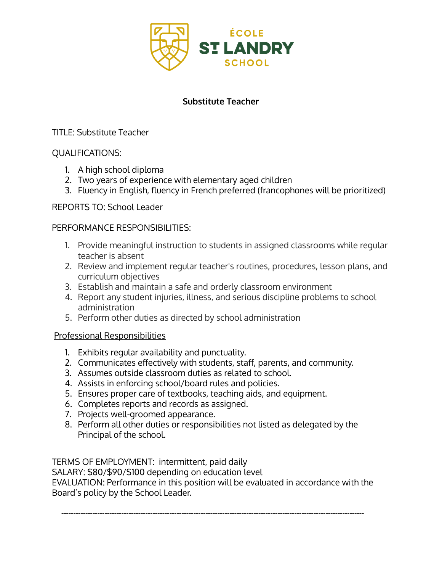

# **Substitute Teacher**

## TITLE: Substitute Teacher

### QUALIFICATIONS:

- 1. A high school diploma
- 2. Two years of experience with elementary aged children
- 3. Fluency in English, fluency in French preferred (francophones will be prioritized)

### REPORTS TO: School Leader

### PERFORMANCE RESPONSIBILITIES:

- 1. Provide meaningful instruction to students in assigned classrooms while regular teacher is absent
- 2. Review and implement regular teacher's routines, procedures, lesson plans, and curriculum objectives
- 3. Establish and maintain a safe and orderly classroom environment
- 4. Report any student injuries, illness, and serious discipline problems to school administration
- 5. Perform other duties as directed by school administration

### Professional Responsibilities

- 1. Exhibits regular availability and punctuality.
- 2. Communicates effectively with students, staff, parents, and community.
- 3. Assumes outside classroom duties as related to school.
- 4. Assists in enforcing school/board rules and policies.
- 5. Ensures proper care of textbooks, teaching aids, and equipment.
- 6. Completes reports and records as assigned.
- 7. Projects well-groomed appearance.
- 8. Perform all other duties or responsibilities not listed as delegated by the Principal of the school.

TERMS OF EMPLOYMENT: intermittent, paid daily

SALARY: \$80/\$90/\$100 depending on education level

EVALUATION: Performance in this position will be evaluated in accordance with the Board's policy by the School Leader.

------------------------------------------------------------------------------------------------------------------------------